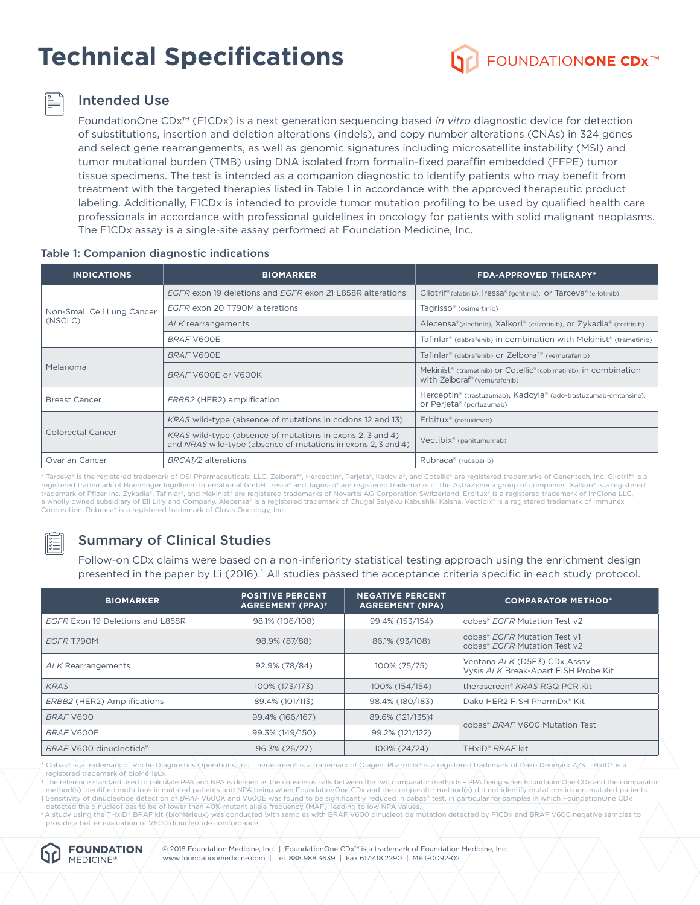# **Technical Specifications**



## Intended Use

FoundationOne CDx™ (F1CDx) is a next generation sequencing based *in vitro* diagnostic device for detection of substitutions, insertion and deletion alterations (indels), and copy number alterations (CNAs) in 324 genes and select gene rearrangements, as well as genomic signatures including microsatellite instability (MSI) and tumor mutational burden (TMB) using DNA isolated from formalin-fixed paraffin embedded (FFPE) tumor tissue specimens. The test is intended as a companion diagnostic to identify patients who may benefit from treatment with the targeted therapies listed in Table 1 in accordance with the approved therapeutic product labeling. Additionally, F1CDx is intended to provide tumor mutation profiling to be used by qualified health care professionals in accordance with professional guidelines in oncology for patients with solid malignant neoplasms. The F1CDx assay is a single-site assay performed at Foundation Medicine, Inc.

| <b>INDICATIONS</b>                    | <b>BIOMARKER</b>                                                                                                           | <b>FDA-APPROVED THERAPY*</b>                                                                                                          |  |  |
|---------------------------------------|----------------------------------------------------------------------------------------------------------------------------|---------------------------------------------------------------------------------------------------------------------------------------|--|--|
|                                       | EGFR exon 19 deletions and EGFR exon 21 L858R alterations                                                                  | Gilotrif® (afatinib), Iressa® (gefitinib), or Tarceva® (erlotinib)                                                                    |  |  |
| Non-Small Cell Lung Cancer<br>(NSCLC) | EGFR exon 20 T790M alterations                                                                                             | Tagrisso <sup>®</sup> (osimertinib)                                                                                                   |  |  |
|                                       | ALK rearrangements                                                                                                         | Alecensa®(alectinib), Xalkori® (crizotinib), or Zykadia® (ceritinib)                                                                  |  |  |
|                                       | <b>BRAF V600E</b>                                                                                                          | Tafinlar <sup>®</sup> (dabrafenib) in combination with Mekinist <sup>®</sup> (trametinib)                                             |  |  |
|                                       | BRAF V600E                                                                                                                 | Tafinlar <sup>®</sup> (dabrafenib) or Zelboraf® (vemurafenib)                                                                         |  |  |
| Melanoma                              | BRAF V600E or V600K                                                                                                        | Mekinist <sup>®</sup> (trametinib) or Cotellic <sup>®</sup> (cobimetinib), in combination<br>with Zelboraf <sup>®</sup> (vemurafenib) |  |  |
| <b>Breast Cancer</b>                  | ERBB2 (HER2) amplification                                                                                                 | Herceptin® (trastuzumab), Kadcyla® (ado-trastuzumab-emtansine),<br>or Perjeta® (pertuzumab)                                           |  |  |
|                                       | <i>KRAS</i> wild-type (absence of mutations in codons 12 and 13)                                                           | Erbitux® (cetuximab)                                                                                                                  |  |  |
| Colorectal Cancer                     | KRAS wild-type (absence of mutations in exons 2, 3 and 4)<br>and NRAS wild-type (absence of mutations in exons 2, 3 and 4) | Vectibix <sup>®</sup> (panitumumab)                                                                                                   |  |  |
| Ovarian Cancer                        | BRCA1/2 alterations                                                                                                        | Rubraca® (rucaparib)                                                                                                                  |  |  |

#### Table 1: Companion diagnostic indications

\* Tarceva® is the registered trademark of OSI Pharmaceuticals, LLC. Zelboraf®, Herceptin®, Perjeta®, Kadcyla®, and Cotellic® are registered trademarks of Genentech, Inc. Gilotrif® is a registered trademark of Boehringer Ingelheim International GmbH. Iressa® and Tagrisso® are registered trademarks of the AstraZeneca group of companies. Xalkori® is a registered trademark of Pfizer Inc. Zykadia®, Tafinlar®, and Mekinist® are registered trademarks of Novartis AG Corporation Switzerland. Erbitux® is a registered trademark of ImClone LLC, a wholly owned subsidiary of Eli Lilly and Company. Alecensa® is a registered trademark of Chugai Seiyaku Kabushiki Kaisha. Vectibix® is a registered trademark of Immunex Corporation. Rubraca® is a registered trademark of Clovis Oncology, Inc.

# Summary of Clinical Studies

Follow-on CDx claims were based on a non-inferiority statistical testing approach using the enrichment design presented in the paper by Li (2016).<sup>1</sup> All studies passed the acceptance criteria specific in each study protocol.

| <b>BIOMARKER</b>                    | <b>POSITIVE PERCENT</b><br><b>NEGATIVE PERCENT</b><br><b>AGREEMENT (PPA)<sup>+</sup></b><br><b>AGREEMENT (NPA)</b> |                  | <b>COMPARATOR METHOD*</b>                                            |  |
|-------------------------------------|--------------------------------------------------------------------------------------------------------------------|------------------|----------------------------------------------------------------------|--|
| EGFR Exon 19 Deletions and L858R    | 98.1% (106/108)                                                                                                    | 99.4% (153/154)  | cobas® EGFR Mutation Test y2                                         |  |
| EGFR T790M                          | 98.9% (87/88)                                                                                                      | 86.1% (93/108)   | cobas® EGFR Mutation Test v1<br>cobas® EGFR Mutation Test v2         |  |
| <b>ALK Rearrangements</b>           | 92.9% (78/84)                                                                                                      | 100% (75/75)     | Ventana ALK (D5F3) CDx Assay<br>Vysis ALK Break-Apart FISH Probe Kit |  |
| <b>KRAS</b>                         | 100% (173/173)                                                                                                     | 100% (154/154)   | therascreen <sup>®</sup> KRAS RGQ PCR Kit                            |  |
| ERBB2 (HER2) Amplifications         | 89.4% (101/113)                                                                                                    | 98.4% (180/183)  | Dako HER2 FISH PharmDx® Kit                                          |  |
| BRAF V600                           | 99.4% (166/167)                                                                                                    | 89.6% (121/135)‡ |                                                                      |  |
| BRAF V600E                          | 99.3% (149/150)                                                                                                    | 99.2% (121/122)  | cobas® BRAF V600 Mutation Test                                       |  |
| BRAF V600 dinucleotide <sup>§</sup> | 96.3% (26/27)                                                                                                      | 100% (24/24)     | TH <sub>xID®</sub> BRAF kit                                          |  |

\* Cobas® is a trademark of Roche Diagnostics Operations, Inc. Therascreen® is a trademark of Qiagen. PharmDx® is a registered trademark of Dako Denmark A/S. THxID® is a registered trademark of bioMérieux

† The reference standard used to calculate PPA and NPA is defined as the consensus calls between the two comparator methods – PPA being when FoundationOne CDx and the comparator method(s) identified mutations in mutated patients and NPA being when FoundationOne CDx and the comparator method(s) did not identify mutations in non-mutated patients. ‡ Sensitivity of dinucleotide detection of *BRAF* V600K and V600E was found to be significantly reduced in cobas® test, in particular for samples in which FoundationOne CDx<br>| detected the dinucleotides to be of lower than

§ A study using the THxID® BRAF kit (bioMérieux) was conducted with samples with BRAF V600 dinucleotide mutation detected by F1CDx and BRAF V600 negative samples to provide a better evaluation of V600 dinucleotide concordance.



© 2018 Foundation Medicine, Inc. | FoundationOne CDx™ is a trademark of Foundation Medicine, Inc. www.foundationmedicine.com | Tel. 888.988.3639 | Fax 617.418.2290 | MKT-0092-02